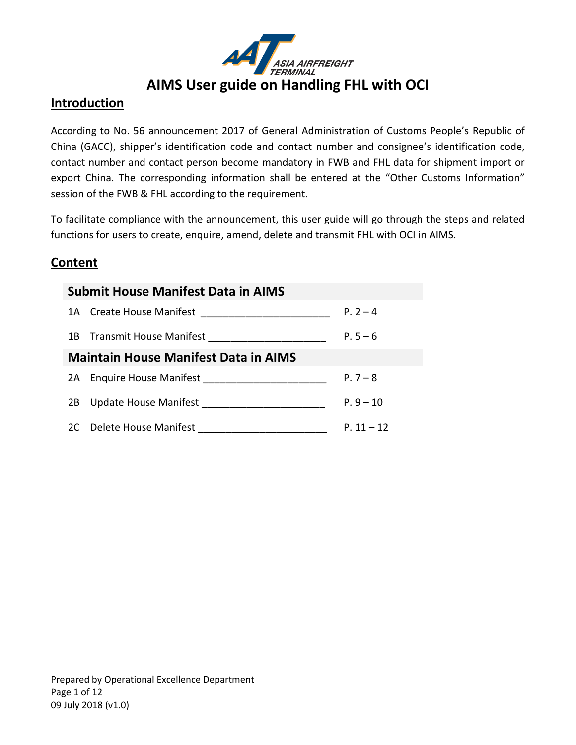

### **Introduction**

According to No. 56 announcement 2017 of General Administration of Customs People's Republic of China (GACC), shipper's identification code and contact number and consignee's identification code, contact number and contact person become mandatory in FWB and FHL data for shipment import or export China. The corresponding information shall be entered at the "Other Customs Information" session of the FWB & FHL according to the requirement.

To facilitate compliance with the announcement, this user guide will go through the steps and related functions for users to create, enquire, amend, delete and transmit FHL with OCI in AIMS.

## **Content**

| <b>Submit House Manifest Data in AIMS</b>          |              |
|----------------------------------------------------|--------------|
|                                                    | $P. 2 - 4$   |
| 1B Transmit House Manifest ______________________  | $P.5 - 6$    |
| <b>Maintain House Manifest Data in AIMS</b>        |              |
|                                                    | $P.7 - 8$    |
| 2B Update House Manifest ________________________  | $P.9 - 10$   |
| 2C Delete House Manifest _________________________ | $P. 11 - 12$ |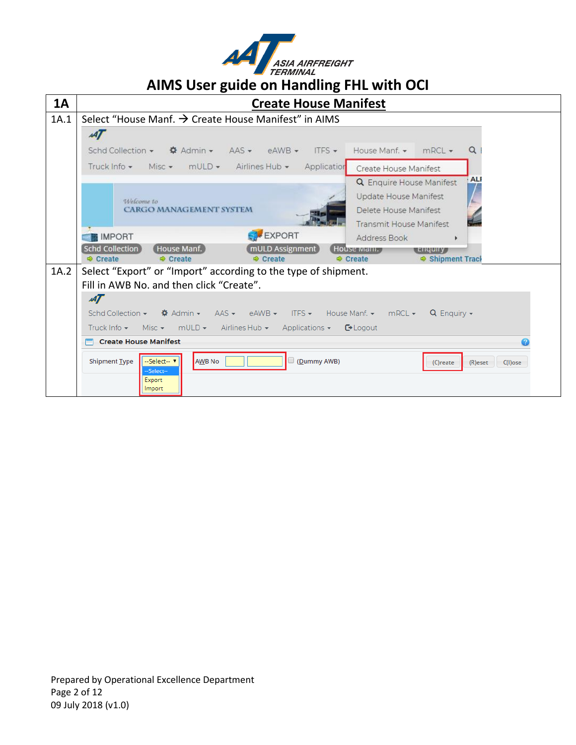

| <b>1A</b> | ັ<br><b>Create House Manifest</b>                                                                                                                                                                                                  |
|-----------|------------------------------------------------------------------------------------------------------------------------------------------------------------------------------------------------------------------------------------|
| 1A.1      | Select "House Manf. → Create House Manifest" in AIMS                                                                                                                                                                               |
|           | 47                                                                                                                                                                                                                                 |
|           | Schd Collection $\bullet$ $\bullet$ Admin $\bullet$<br>$AAS \star$ eAWB $\star$ ITFS $\star$<br>Q<br>House Manf. $\star$ mRCL $\star$                                                                                              |
|           | Misc • mULD • Airlines Hub • Application<br>Truck Info $\star$<br>Create House Manifest                                                                                                                                            |
|           | ALI<br><b>Q</b> Enquire House Manifest<br>Update House Manifest<br>Welcome to<br><b>CARGO MANAGEMENT SYSTEM</b><br>Delete House Manifest<br><b>Transmit House Manifest</b>                                                         |
|           | EXPORT<br><b>IMPORT</b><br>Address Book<br>r                                                                                                                                                                                       |
|           | <b>Schd Collection</b><br>House Manf.<br>mULD Assignment<br>House mani.<br>t Enquiry<br>Shipment Track<br><b><math>\Phi</math></b> Create<br><b><math>\Rightarrow</math></b> Create<br>Create<br><b><math>\oplus</math></b> Create |
| 1A.2      | Select "Export" or "Import" according to the type of shipment.                                                                                                                                                                     |
|           | Fill in AWB No. and then click "Create".                                                                                                                                                                                           |
|           | $\mathcal{A}\mathcal{T}$                                                                                                                                                                                                           |
|           | Schd Collection $\star$ $\bullet$ <b><math>\bullet</math></b> Admin $\star$<br>$\overline{AAS}$ $\rightarrow$ eAWB $\rightarrow$ ITFS $\rightarrow$ House Manf. $\rightarrow$ mRCL $\rightarrow$<br>$Q$ Enquiry $\sim$             |
|           | Misc $\star$ mULD $\star$ Airlines Hub $\star$<br>Truck Info $\blacktriangleright$<br>Applications $\overline{\phantom{a}}$<br>$\mathbb{C}$ Logout                                                                                 |
|           | Create House Manifest                                                                                                                                                                                                              |
|           | <b>AWB No</b><br>(Dummy AWB)<br><b>Shipment Type</b><br>--Select--<br>$(R)$ eset<br>$C(1)$ ose<br>(C)reate<br>-Select--<br>Export<br><i>Import</i>                                                                                 |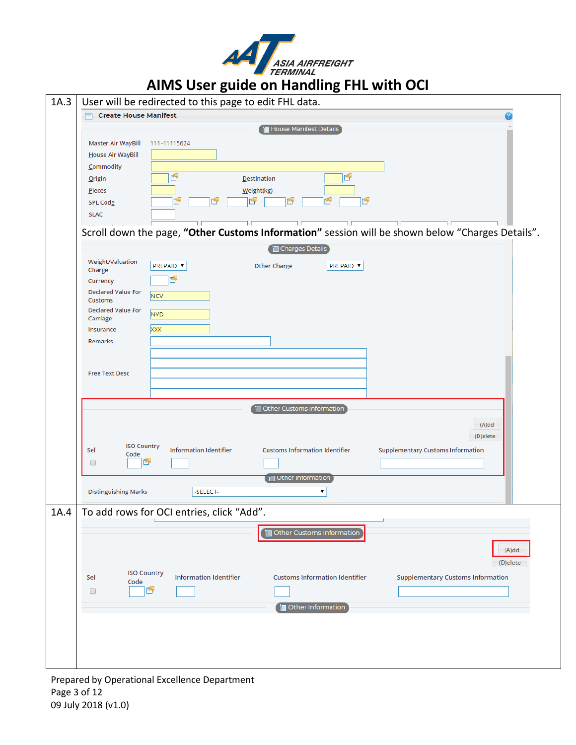

| 1A.3 |                                                          | User will be redirected to this page to edit FHL data.                                                             |  |
|------|----------------------------------------------------------|--------------------------------------------------------------------------------------------------------------------|--|
|      | <b>Create House Manifest</b>                             |                                                                                                                    |  |
|      |                                                          | House Manifest Details                                                                                             |  |
|      | Master Air WayBill                                       | 111-11115624                                                                                                       |  |
|      | House Air WayBill                                        |                                                                                                                    |  |
|      | Commodity                                                |                                                                                                                    |  |
|      | <b>Origin</b>                                            | ý<br>Ď<br><b>Destination</b>                                                                                       |  |
|      | Pieces                                                   | Weight(kg)                                                                                                         |  |
|      | SPL Code                                                 | ľy<br>Éy<br>Ÿ<br>Ű<br>۳<br>٣                                                                                       |  |
|      | <b>SLAC</b>                                              |                                                                                                                    |  |
|      |                                                          | Scroll down the page, "Other Customs Information" session will be shown below "Charges Details".                   |  |
|      |                                                          | Charges Details                                                                                                    |  |
|      | Weight/Valuation                                         | <b>PREPAID ▼</b><br>PREPAID V<br><b>Other Charge</b>                                                               |  |
|      | Charge                                                   | Y                                                                                                                  |  |
|      | Currency<br><b>Declared Value For</b>                    |                                                                                                                    |  |
|      | NCV<br><b>Customs</b>                                    |                                                                                                                    |  |
|      | <b>Declared Value For</b><br>NV <sub>D</sub><br>Carriage |                                                                                                                    |  |
|      | <b>XXX</b><br>Insurance                                  |                                                                                                                    |  |
|      | Remarks                                                  |                                                                                                                    |  |
|      |                                                          |                                                                                                                    |  |
|      |                                                          |                                                                                                                    |  |
|      | <b>Free Text Desc</b>                                    |                                                                                                                    |  |
|      |                                                          |                                                                                                                    |  |
|      |                                                          | Other Customs Information                                                                                          |  |
|      |                                                          | (A)dd                                                                                                              |  |
|      |                                                          | (D)elete                                                                                                           |  |
|      | <b>ISO Country</b><br>Sel                                | <b>Information Identifier</b><br><b>Customs Information Identifier</b><br><b>Supplementary Customs Information</b> |  |
|      | Code<br>G<br>$\Box$                                      |                                                                                                                    |  |
|      |                                                          |                                                                                                                    |  |
|      |                                                          | Tell Other Information                                                                                             |  |
|      | <b>Distinguishing Marks</b>                              | -SELECT-<br>▼                                                                                                      |  |
| 1A.4 |                                                          | To add rows for OCI entries, click "Add"                                                                           |  |
|      |                                                          | Other Customs Information                                                                                          |  |
|      |                                                          |                                                                                                                    |  |
|      |                                                          | (A)dd                                                                                                              |  |
|      |                                                          | (D)elete                                                                                                           |  |
|      | <b>ISO Country</b><br>Sel<br>Code                        | <b>Information Identifier</b><br><b>Customs Information Identifier</b><br><b>Supplementary Customs Information</b> |  |
|      | r<br>0                                                   |                                                                                                                    |  |
|      |                                                          | <b>ill</b> Other Information                                                                                       |  |
|      |                                                          |                                                                                                                    |  |
|      |                                                          |                                                                                                                    |  |
|      |                                                          |                                                                                                                    |  |
|      |                                                          |                                                                                                                    |  |
|      |                                                          |                                                                                                                    |  |

Prepared by Operational Excellence Department Page 3 of 12 09 July 2018 (v1.0)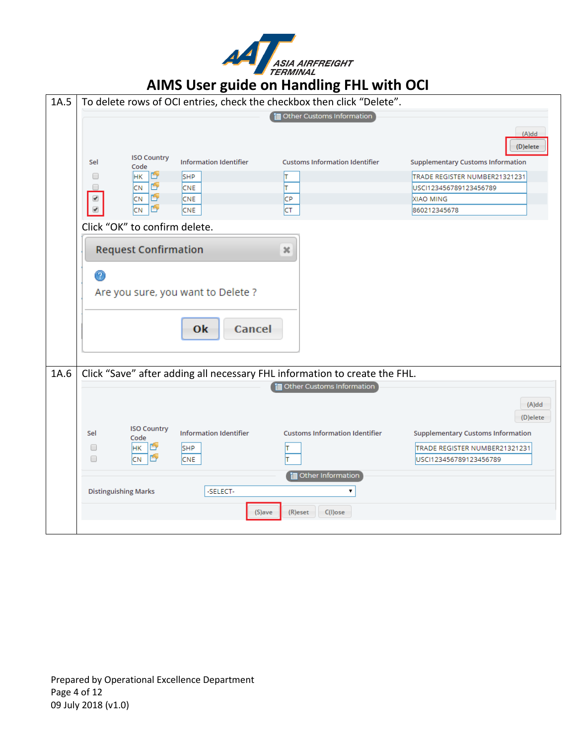

| 1A.5 |                             |                               |                                    | To delete rows of OCI entries, check the checkbox then click "Delete".     |                                          |
|------|-----------------------------|-------------------------------|------------------------------------|----------------------------------------------------------------------------|------------------------------------------|
|      |                             |                               |                                    | Other Customs Information                                                  |                                          |
|      |                             |                               |                                    |                                                                            | (A)dd<br>(D)elete                        |
|      | Sel                         | <b>ISO Country</b><br>Code    | <b>Information Identifier</b>      | <b>Customs Information Identifier</b>                                      | <b>Supplementary Customs Information</b> |
|      | O                           | Ý<br>HК                       | SHP                                | lΤ                                                                         | TRADE REGISTER NUMBER21321231            |
|      |                             | Ý<br>CN.                      | <b>CNE</b>                         | lΤ                                                                         | USCI123456789123456789                   |
|      | ✔                           | ý<br>CN<br>Ý<br>CN.           | <b>CNE</b><br><b>CNE</b>           | CP<br>CT                                                                   | XIAO MING<br>860212345678                |
|      |                             | Click "OK" to confirm delete. |                                    |                                                                            |                                          |
|      |                             | <b>Request Confirmation</b>   |                                    | ×                                                                          |                                          |
|      | $^\circ$                    |                               | Are you sure, you want to Delete ? |                                                                            |                                          |
|      |                             |                               | Cancel<br>0k                       |                                                                            |                                          |
| 1A.6 |                             |                               |                                    | Click "Save" after adding all necessary FHL information to create the FHL. |                                          |
|      |                             |                               |                                    | Other Customs Information                                                  |                                          |
|      |                             |                               |                                    |                                                                            | $(A)$ dd                                 |
|      |                             |                               |                                    |                                                                            | (D)elete                                 |
|      | Sel                         | <b>ISO Country</b><br>Code    | <b>Information Identifier</b>      | <b>Customs Information Identifier</b>                                      | <b>Supplementary Customs Information</b> |
|      | □                           | 睯<br>HК                       | <b>SHP</b>                         | ΙT                                                                         | TRADE REGISTER NUMBER21321231            |
|      | □                           | ŕ<br><b>CN</b>                | <b>CNE</b>                         |                                                                            | USCI123456789123456789                   |
|      |                             |                               |                                    | <b>i</b> Other Information                                                 |                                          |
|      | <b>Distinguishing Marks</b> |                               | -SELECT-                           | 7                                                                          |                                          |
|      |                             |                               | (S)ave                             | (R)eset<br>$C(I)$ ose                                                      |                                          |
|      |                             |                               |                                    |                                                                            |                                          |

Prepared by Operational Excellence Department Page 4 of 12 09 July 2018 (v1.0)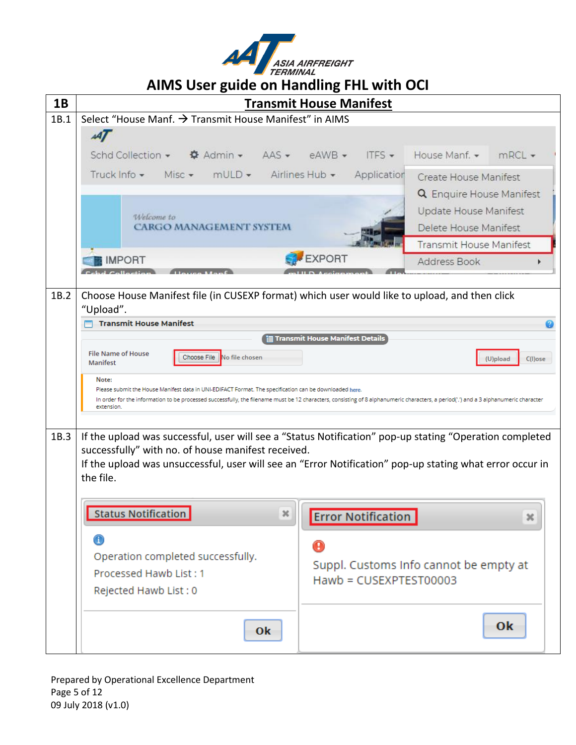

| 1B   | $\frac{1}{2}$                                                                                                                                                                                                                                                                                           |   | <b>Transmit House Manifest</b>  |                           |                                        |                        |
|------|---------------------------------------------------------------------------------------------------------------------------------------------------------------------------------------------------------------------------------------------------------------------------------------------------------|---|---------------------------------|---------------------------|----------------------------------------|------------------------|
| 1B.1 | Select "House Manf. → Transmit House Manifest" in AIMS                                                                                                                                                                                                                                                  |   |                                 |                           |                                        |                        |
|      | A                                                                                                                                                                                                                                                                                                       |   |                                 |                           |                                        |                        |
|      | Schd Collection $\star$ $\qquad$ $\clubsuit$ Admin $\star$ AAS $\star$ eAWB $\star$                                                                                                                                                                                                                     |   |                                 | ITFS                      | House Manf. $\star$ mRCL $\star$       |                        |
|      | Truck Info + Misc + mULD + Airlines Hub + Application                                                                                                                                                                                                                                                   |   |                                 |                           | Create House Manifest                  |                        |
|      |                                                                                                                                                                                                                                                                                                         |   |                                 |                           | <b>Q</b> Enquire House Manifest        |                        |
|      | Welcome to                                                                                                                                                                                                                                                                                              |   |                                 |                           | Update House Manifest                  |                        |
|      | <b>CARGO MANAGEMENT SYSTEM</b>                                                                                                                                                                                                                                                                          |   |                                 |                           | Delete House Manifest                  |                        |
|      |                                                                                                                                                                                                                                                                                                         |   |                                 |                           | <b>Transmit House Manifest</b>         |                        |
|      | <b>IMPORT</b>                                                                                                                                                                                                                                                                                           |   | <b>EXPORT</b>                   |                           | Address Book                           |                        |
|      |                                                                                                                                                                                                                                                                                                         |   |                                 |                           |                                        |                        |
| 1B.2 | Choose House Manifest file (in CUSEXP format) which user would like to upload, and then click<br>"Upload".                                                                                                                                                                                              |   |                                 |                           |                                        |                        |
|      | <b>Transmit House Manifest</b>                                                                                                                                                                                                                                                                          |   |                                 |                           |                                        |                        |
|      |                                                                                                                                                                                                                                                                                                         |   | Transmit House Manifest Details |                           |                                        |                        |
|      | <b>File Name of House</b><br>Choose File No file chosen<br>Manifest                                                                                                                                                                                                                                     |   |                                 |                           |                                        | (U)pload<br>$C(I)$ ose |
|      | Note:<br>Please submit the House Manifest data in UNI-EDIFACT Format. The specification can be downloaded here.<br>In order for the information to be processed successfully, the filename must be 12 characters, consisting of 8 alphanumeric characters, a period('.') and a 3 alphanumeric character |   |                                 |                           |                                        |                        |
|      | extension.                                                                                                                                                                                                                                                                                              |   |                                 |                           |                                        |                        |
| 1B.3 | If the upload was successful, user will see a "Status Notification" pop-up stating "Operation completed                                                                                                                                                                                                 |   |                                 |                           |                                        |                        |
|      | successfully" with no. of house manifest received.                                                                                                                                                                                                                                                      |   |                                 |                           |                                        |                        |
|      | If the upload was unsuccessful, user will see an "Error Notification" pop-up stating what error occur in<br>the file.                                                                                                                                                                                   |   |                                 |                           |                                        |                        |
|      |                                                                                                                                                                                                                                                                                                         |   |                                 |                           |                                        |                        |
|      | Status Notification                                                                                                                                                                                                                                                                                     | × |                                 |                           |                                        |                        |
|      |                                                                                                                                                                                                                                                                                                         |   |                                 | <b>Error Notification</b> |                                        | ×                      |
|      | ⊕                                                                                                                                                                                                                                                                                                       |   | $\mathbf 0$                     |                           |                                        |                        |
|      | Operation completed successfully.                                                                                                                                                                                                                                                                       |   |                                 |                           | Suppl. Customs Info cannot be empty at |                        |
|      | Processed Hawb List: 1                                                                                                                                                                                                                                                                                  |   |                                 | Hawb = CUSEXPTEST00003    |                                        |                        |
|      | Rejected Hawb List: 0                                                                                                                                                                                                                                                                                   |   |                                 |                           |                                        |                        |
|      | 0k                                                                                                                                                                                                                                                                                                      |   |                                 |                           |                                        | Ok                     |

Prepared by Operational Excellence Department Page 5 of 12 09 July 2018 (v1.0)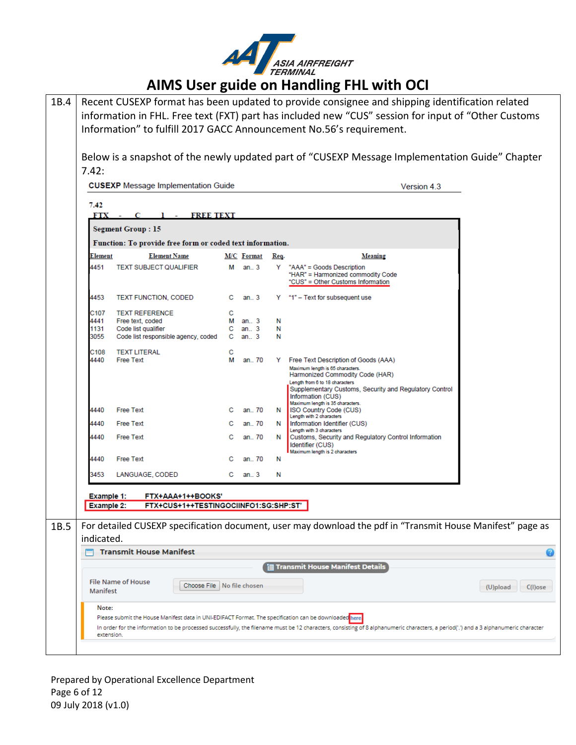

| 1B.4 |                   |                                                                                                        |        |                    |        | Recent CUSEXP format has been updated to provide consignee and shipping identification related                                                                                                                               |
|------|-------------------|--------------------------------------------------------------------------------------------------------|--------|--------------------|--------|------------------------------------------------------------------------------------------------------------------------------------------------------------------------------------------------------------------------------|
|      |                   |                                                                                                        |        |                    |        | information in FHL. Free text (FXT) part has included new "CUS" session for input of "Other Customs                                                                                                                          |
|      |                   |                                                                                                        |        |                    |        | Information" to fulfill 2017 GACC Announcement No.56's requirement.                                                                                                                                                          |
|      |                   |                                                                                                        |        |                    |        |                                                                                                                                                                                                                              |
|      |                   |                                                                                                        |        |                    |        | Below is a snapshot of the newly updated part of "CUSEXP Message Implementation Guide" Chapter                                                                                                                               |
|      | 7.42:             |                                                                                                        |        |                    |        |                                                                                                                                                                                                                              |
|      |                   | <b>CUSEXP</b> Message Implementation Guide                                                             |        |                    |        | Version 4.3                                                                                                                                                                                                                  |
|      | 7.42              |                                                                                                        |        |                    |        |                                                                                                                                                                                                                              |
|      | <b>FTX</b>        | <b>FREE TEXT</b><br><b>Contract Contract</b>                                                           |        |                    |        |                                                                                                                                                                                                                              |
|      |                   | <b>Segment Group: 15</b>                                                                               |        |                    |        |                                                                                                                                                                                                                              |
|      |                   | Function: To provide free form or coded text information.                                              |        |                    |        |                                                                                                                                                                                                                              |
|      | Element           | <b>Element Name</b>                                                                                    |        | <b>M/C</b> Format  | Req.   | Meaning                                                                                                                                                                                                                      |
|      | 4451              | <b>TEXT SUBJECT QUALIFIER</b>                                                                          | М      | an. $3$            |        | Y "AAA" = Goods Description<br>"HAR" = Harmonized commodity Code<br>"CUS" = Other Customs Information                                                                                                                        |
|      | 4453              | <b>TEXT FUNCTION, CODED</b>                                                                            |        | $C$ an. $3$        |        | Y "1" - Text for subsequent use                                                                                                                                                                                              |
|      | C107              | <b>TEXT REFERENCE</b>                                                                                  | с      |                    |        |                                                                                                                                                                                                                              |
|      | 4441<br>1131      | Free text, coded<br>Code list qualifier                                                                | M<br>C | an. $3$<br>an. $3$ | N<br>N |                                                                                                                                                                                                                              |
|      | 3055              | Code list responsible agency, coded                                                                    | C.     | an. $3$            | N      |                                                                                                                                                                                                                              |
|      | C108              | <b>TEXT LITERAL</b>                                                                                    | с      |                    |        |                                                                                                                                                                                                                              |
|      | 4440              | <b>Free Text</b>                                                                                       | М      | an 70              | Y      | Free Text Description of Goods (AAA)<br>Maximum length is 65 characters.<br>Harmonized Commodity Code (HAR)<br>Length from 6 to 18 characters<br>Supplementary Customs, Security and Regulatory Control<br>Information (CUS) |
|      | 4440              | <b>Free Text</b>                                                                                       |        | an 70              | N.     | Maximum length is 35 characters.<br>ISO Country Code (CUS)                                                                                                                                                                   |
|      | 4440              | <b>Free Text</b>                                                                                       | с      | an., 70            | N.     | Length with 2 characters<br>Information Identifier (CUS)                                                                                                                                                                     |
|      | 4440              | <b>Free Text</b>                                                                                       | с      | an 70              | N      | Length with 3 characters<br>Customs, Security and Regulatory Control Information<br>Identifier (CUS)<br>Maximum length is 2 characters                                                                                       |
|      | 4440              | <b>Free Text</b>                                                                                       |        | an 70              | N      |                                                                                                                                                                                                                              |
|      | 3453              | LANGUAGE, CODED                                                                                        | С      | an 3               | N      |                                                                                                                                                                                                                              |
|      | Example 1:        | FTX+AAA+1++BOOKS'                                                                                      |        |                    |        |                                                                                                                                                                                                                              |
|      | <b>Example 2:</b> | FTX+CUS+1++TESTINGOCIINFO1:SG:SHP:ST'                                                                  |        |                    |        |                                                                                                                                                                                                                              |
|      |                   |                                                                                                        |        |                    |        |                                                                                                                                                                                                                              |
| 1B.5 | indicated.        |                                                                                                        |        |                    |        | For detailed CUSEXP specification document, user may download the pdf in "Transmit House Manifest" page as                                                                                                                   |
|      |                   | <b>Transmit House Manifest</b>                                                                         |        |                    |        | Q                                                                                                                                                                                                                            |
|      |                   |                                                                                                        |        |                    |        | <b>Transmit House Manifest Details</b>                                                                                                                                                                                       |
|      |                   |                                                                                                        |        |                    |        |                                                                                                                                                                                                                              |
|      | Manifest          | <b>File Name of House</b><br>Choose File   No file chosen                                              |        |                    |        | (U)pload<br>$C(I)$ ose                                                                                                                                                                                                       |
|      | Note:             |                                                                                                        |        |                    |        |                                                                                                                                                                                                                              |
|      |                   | Please submit the House Manifest data in UNI-EDIFACT Format. The specification can be downloaded here. |        |                    |        |                                                                                                                                                                                                                              |
|      | extension.        |                                                                                                        |        |                    |        | In order for the information to be processed successfully, the filename must be 12 characters, consisting of 8 alphanumeric characters, a period('.') and a 3 alphanumeric character                                         |
|      |                   |                                                                                                        |        |                    |        |                                                                                                                                                                                                                              |

Prepared by Operational Excellence Department Page 6 of 12 09 July 2018 (v1.0)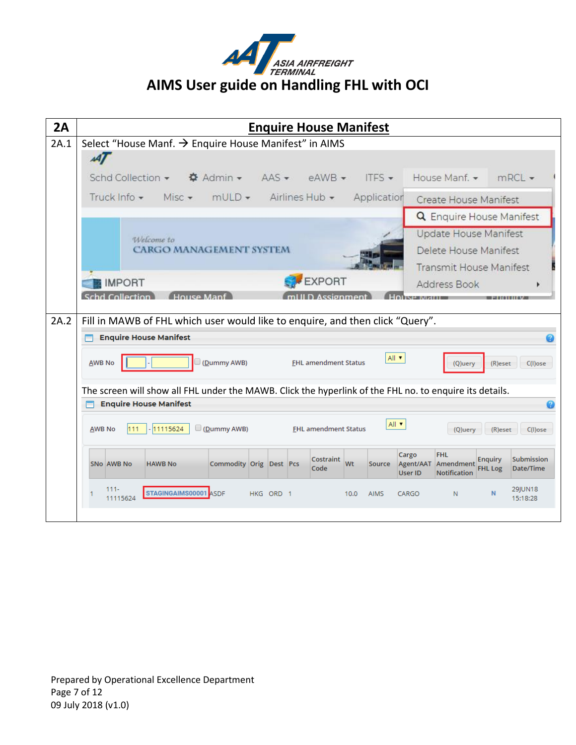

| 2A   | <b>Enquire House Manifest</b>                                                                                                                                      |
|------|--------------------------------------------------------------------------------------------------------------------------------------------------------------------|
| 2A.1 | Select "House Manf. → Enquire House Manifest" in AIMS                                                                                                              |
|      | $\boldsymbol{A}$                                                                                                                                                   |
|      | Schd Collection ▼ $\bullet$ Admin ▼ AAS ▼ eAWB ▼<br>House Manf. •<br>ITES $\star$<br>mRCL                                                                          |
|      | $mULD -$<br>Airlines Hub - Application<br>Truck Info -<br>Misc $\star$<br>Create House Manifest                                                                    |
|      | <b>Q</b> Enquire House Manifest                                                                                                                                    |
|      | Update House Manifest<br>Welcome to                                                                                                                                |
|      | <b>CARGO MANAGEMENT SYSTEM</b><br>Delete House Manifest                                                                                                            |
|      | <b>Transmit House Manifest</b>                                                                                                                                     |
|      | <b>EXPORT</b><br><b>IMPORT</b><br>Address Book<br>d Collection                                                                                                     |
|      |                                                                                                                                                                    |
| 2A.2 | Fill in MAWB of FHL which user would like to enquire, and then click "Query".                                                                                      |
|      | <b>Enquire House Manifest</b>                                                                                                                                      |
|      | All v<br><b>AWB No</b><br>(Dummy AWB)<br><b>FHL amendment Status</b><br>(R)eset<br>$C(1)$ ose<br>(Q)uery                                                           |
|      |                                                                                                                                                                    |
|      | The screen will show all FHL under the MAWB. Click the hyperlink of the FHL no. to enquire its details.<br><b>Enquire House Manifest</b>                           |
|      | All v                                                                                                                                                              |
|      | $\Box$ (Dummy AWB)<br>11115624<br><b>FHL amendment Status</b><br><b>AWB No</b><br>111<br>(Q)uery<br>(R)eset<br>C(I)ose                                             |
|      | Cargo<br><b>FHL</b><br>Submission<br><b>Enguiry</b><br>Costraint<br>Wt<br>SNo AWB No<br>Commodity Orig Dest Pcs<br>Agent/AAT Amendment<br><b>HAWB No</b><br>Source |
|      | Code<br>Date/Time<br><b>FHL Log</b><br>Notification<br><b>User ID</b>                                                                                              |
|      |                                                                                                                                                                    |
|      | <b>29IUN18</b><br>$111 -$<br>STAGINGAIMS00001 ASDF<br>N.<br>N<br>HKG ORD 1<br>10.0<br><b>AIMS</b><br>CARGO<br>11115624<br>15:18:28                                 |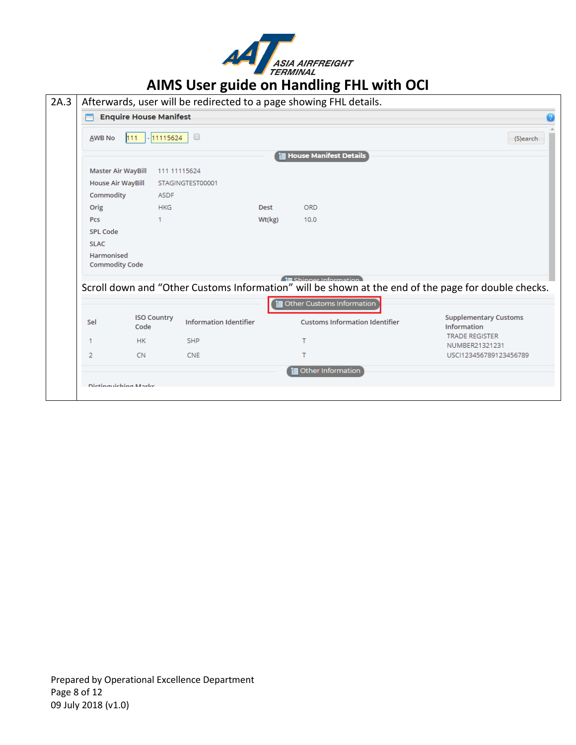

# **AVAL ASIA AIRFREIGHT**<br>AIMS User guide on Handling FHL with OCI

|                                     | <b>Enquire House Manifest</b> |                               |        |                                                                                                                                                            |                                             |
|-------------------------------------|-------------------------------|-------------------------------|--------|------------------------------------------------------------------------------------------------------------------------------------------------------------|---------------------------------------------|
| AWB No                              | $-11115624$<br>111.           | $\Box$                        |        |                                                                                                                                                            | (S)earch                                    |
|                                     |                               |                               |        | <b>House Manifest Details</b>                                                                                                                              |                                             |
| Master Air WayBill                  |                               | 111 11115624                  |        |                                                                                                                                                            |                                             |
| <b>House Air WayBill</b>            |                               | STAGINGTEST00001              |        |                                                                                                                                                            |                                             |
| Commodity                           | <b>ASDF</b>                   |                               |        |                                                                                                                                                            |                                             |
| Orig                                | <b>HKG</b>                    |                               | Dest   | <b>ORD</b>                                                                                                                                                 |                                             |
| Pcs                                 | -1                            |                               | Wt(kg) | 10.0                                                                                                                                                       |                                             |
| <b>SPL Code</b>                     |                               |                               |        |                                                                                                                                                            |                                             |
| <b>SLAC</b>                         |                               |                               |        |                                                                                                                                                            |                                             |
| Harmonised<br><b>Commodity Code</b> |                               |                               |        |                                                                                                                                                            |                                             |
|                                     |                               |                               |        | El Shinner Information<br>Scroll down and "Other Customs Information" will be shown at the end of the page for double checks.<br>Other Customs Information |                                             |
| Sel                                 | <b>ISO Country</b><br>Code    | <b>Information Identifier</b> |        | <b>Customs Information Identifier</b>                                                                                                                      | <b>Supplementary Customs</b><br>Information |
|                                     |                               | <b>SHP</b>                    |        | т                                                                                                                                                          | <b>TRADE REGISTER</b><br>NUMBER21321231     |
| 1                                   | <b>HK</b>                     |                               |        |                                                                                                                                                            | USCI123456789123456789                      |
| 2                                   | <b>CN</b>                     | <b>CNE</b>                    |        | т                                                                                                                                                          |                                             |
|                                     |                               |                               |        | <b>i</b> Other Information                                                                                                                                 |                                             |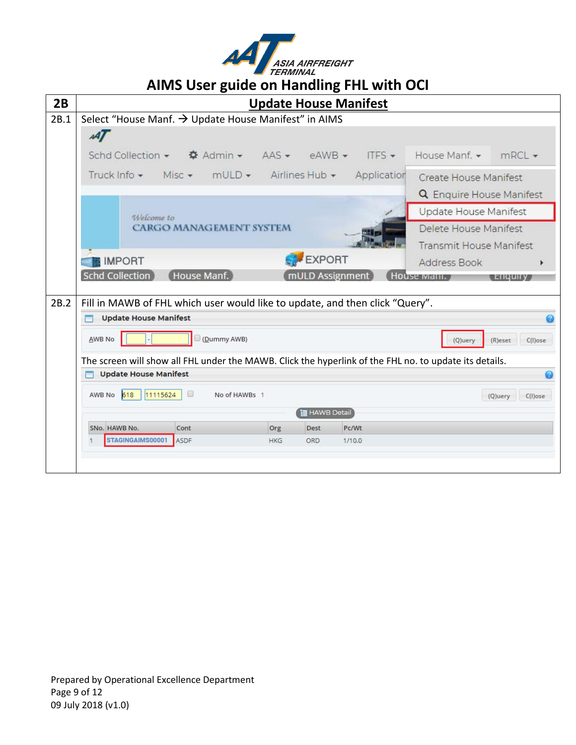

| 2B   | <b>Update House Manifest</b>                                                                                   |
|------|----------------------------------------------------------------------------------------------------------------|
| 2B.1 | Select "House Manf. → Update House Manifest" in AIMS                                                           |
|      | $\mathcal{A}$                                                                                                  |
|      | Schd Collection •<br><b><math>\bullet</math></b> Admin ► AAS ► eAWB ►<br>ITES $\star$<br>House Manf. •<br>mRCL |
|      | Misc • mULD • Airlines Hub •<br>Truck Info $\star$<br>Application<br>Create House Manifest                     |
|      | <b>Q</b> Enquire House Manifest                                                                                |
|      | Update House Manifest<br>Welcome to                                                                            |
|      | <b>CARGO MANAGEMENT SYSTEM</b><br>Delete House Manifest                                                        |
|      | <b>Transmit House Manifest</b>                                                                                 |
|      | EXPORT<br><b>IMPORT</b><br>Address Book                                                                        |
|      | Schd Collection<br>House Manf.<br>mULD Assignment<br>House wiann.<br><b>LIQUII</b>                             |
| 2B.2 | Fill in MAWB of FHL which user would like to update, and then click "Query".                                   |
|      | <b>Update House Manifest</b>                                                                                   |
|      | (Dummy AWB)<br><b>AWB No</b><br>(R)eset<br>(Q)uery<br>$C(1)$ ose                                               |
|      | The screen will show all FHL under the MAWB. Click the hyperlink of the FHL no. to update its details.         |
|      | <b>Update House Manifest</b>                                                                                   |
|      | AWB No 618<br>0<br>11115624<br>No of HAWBs 1<br>(Q)uery<br>C(l)ose                                             |
|      | <b>目 HAWB Detail</b>                                                                                           |
|      | SNo. HAWB No.<br>Cont<br>Pc/Wt<br>Org<br><b>Dest</b>                                                           |
|      | STAGINGAIMS00001<br><b>ASDF</b><br><b>HKG</b><br><b>ORD</b><br>1/10.0                                          |
|      |                                                                                                                |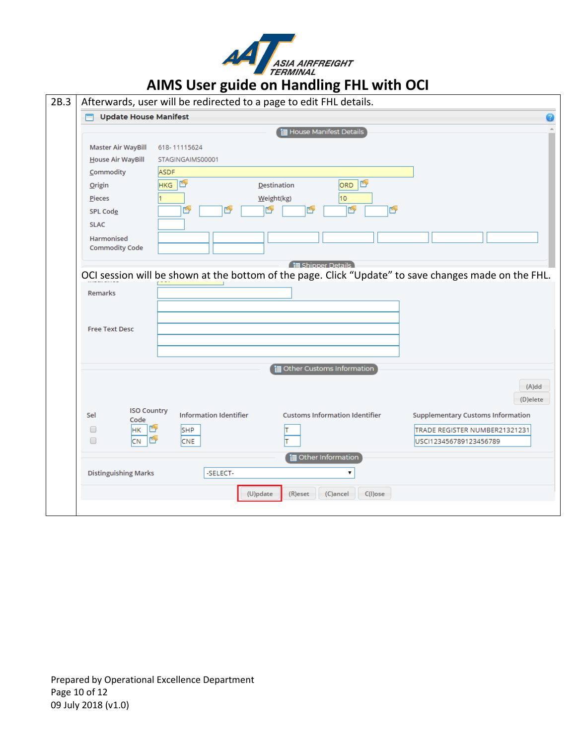

|                                   | Afterwards, user will be redirected to a page to edit FHL details.                                                 |                      |
|-----------------------------------|--------------------------------------------------------------------------------------------------------------------|----------------------|
| <b>Update House Manifest</b><br>m |                                                                                                                    |                      |
|                                   | House Manifest Details                                                                                             |                      |
| Master Air WayBill                | 618-11115624                                                                                                       |                      |
| House Air WayBill                 | STAGINGAIMS00001                                                                                                   |                      |
| Commodity                         | <b>ASDF</b>                                                                                                        |                      |
| <b>Origin</b>                     | ORD D<br>HKG <sup>T</sup><br><b>Destination</b>                                                                    |                      |
| Pieces                            | 10<br>Weight(kg)                                                                                                   |                      |
| <b>SPL Code</b>                   | þ<br>þ<br>ú<br>ŕ<br>المهيا<br>ŕ                                                                                    |                      |
| <b>SLAC</b>                       |                                                                                                                    |                      |
| Harmonised                        |                                                                                                                    |                      |
| <b>Commodity Code</b>             |                                                                                                                    |                      |
|                                   | 信 Shipper Details                                                                                                  |                      |
|                                   | OCI session will be shown at the bottom of the page. Click "Update" to save changes made on the FHL.               |                      |
|                                   |                                                                                                                    |                      |
| Remarks                           |                                                                                                                    |                      |
|                                   |                                                                                                                    |                      |
| <b>Free Text Desc</b>             |                                                                                                                    |                      |
|                                   |                                                                                                                    |                      |
|                                   |                                                                                                                    |                      |
|                                   |                                                                                                                    |                      |
|                                   |                                                                                                                    |                      |
|                                   | Other Customs Information                                                                                          |                      |
|                                   |                                                                                                                    |                      |
|                                   |                                                                                                                    | $(A)$ dd<br>(D)elete |
| <b>ISO Country</b><br>Sel         | <b>Information Identifier</b><br><b>Customs Information Identifier</b><br><b>Supplementary Customs Information</b> |                      |
| Code                              |                                                                                                                    |                      |
| HK <b>I</b><br>□<br>□             | <b>SHP</b><br>TRADE REGISTER NUMBER21321231<br>USCI123456789123456789                                              |                      |
| $CN$ $\mathbb{Z}$                 | <b>CNE</b>                                                                                                         |                      |
|                                   | Other Information                                                                                                  |                      |
| <b>Distinguishing Marks</b>       | -SELECT-<br>7                                                                                                      |                      |
|                                   | (U)pdate<br>(R)eset<br>$C(1)$ ose<br>(C)ancel                                                                      |                      |

Prepared by Operational Excellence Department Page 10 of 12 09 July 2018 (v1.0)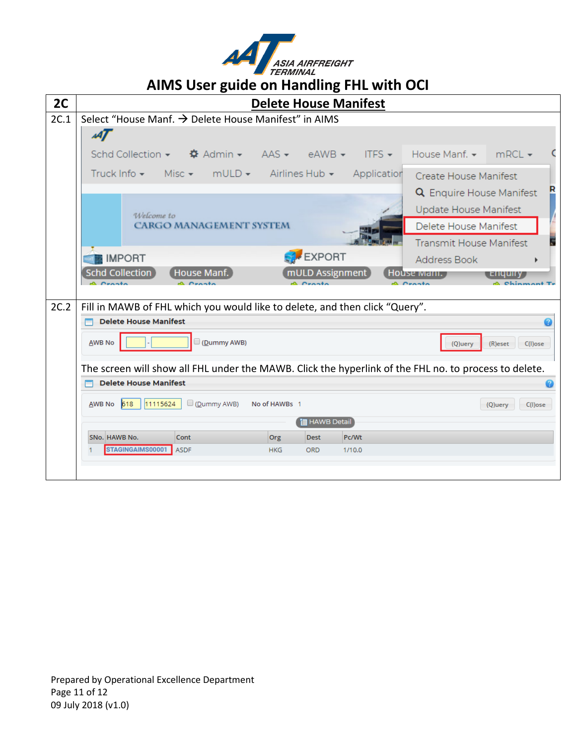

| 2C   | <b>Delete House Manifest</b>                                                                                        |
|------|---------------------------------------------------------------------------------------------------------------------|
| 2C.1 | Select "House Manf. → Delete House Manifest" in AIMS                                                                |
|      | мŢ                                                                                                                  |
|      | Schd Collection $\star$ $\bullet$ $\bullet$ Admin $\star$ AAS $\star$ eAWB $\star$<br>$ITFS - House Manf. - mRNA F$ |
|      | Truck Info · Misc · mULD · Airlines Hub · Application<br>Create House Manifest                                      |
|      | <b>Q</b> Enquire House Manifest                                                                                     |
|      | <b>Update House Manifest</b><br>Welcome to                                                                          |
|      | <b>CARGO MANAGEMENT SYSTEM</b><br>Delete House Manifest                                                             |
|      | <b>Transmit House Manifest</b>                                                                                      |
|      | <b>SAFEXPORT</b><br><b>IMPORT</b><br>Address Book<br>٠                                                              |
|      | <b>Schd Collection</b><br>mULD Assignment<br>House Manf.<br>House mani.<br>, Enquiry                                |
|      |                                                                                                                     |
| 2C.2 | Fill in MAWB of FHL which you would like to delete, and then click "Query".                                         |
|      | <b>Delete House Manifest</b>                                                                                        |
|      | (Dummy AWB)<br><b>AWB No</b><br>(Q)uery<br>(R)eset<br>$C(1)$ ose                                                    |
|      | The screen will show all FHL under the MAWB. Click the hyperlink of the FHL no. to process to delete.               |
|      | <b>Delete House Manifest</b>                                                                                        |
|      | $AWB$ No $618$<br>11115624<br>$\Box$ (Dummy AWB)<br>No of HAWBs 1<br>(Q)uery<br>$C(1)$ ose                          |
|      | ia HAWB Detail                                                                                                      |
|      | SNo. HAWB No.<br>Cont<br>Pc/Wt<br>Org<br><b>Dest</b>                                                                |
|      | STAGINGAIMS00001<br><b>ASDF</b><br><b>HKG</b><br><b>ORD</b><br>1/10.0                                               |
|      |                                                                                                                     |